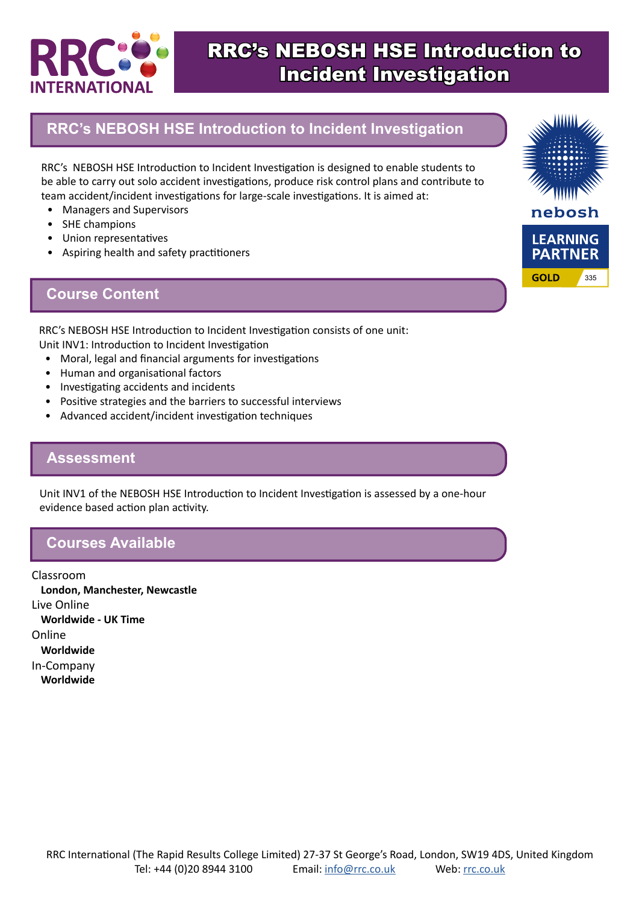

## RRC's NEBOSH HSE Introduction to Incident Investigation

### **RRC's NEBOSH HSE Introduction to Incident Investigation**

RRC's NEBOSH HSE Introduction to Incident Investigation is designed to enable students to be able to carry out solo accident investigations, produce risk control plans and contribute to team accident/incident investigations for large-scale investigations. It is aimed at:

- Managers and Supervisors
- SHE champions
- Union representatives
- Aspiring health and safety practitioners

### **Course Content**



RRC's NEBOSH HSE Introduction to Incident Investigation consists of one unit: Unit INV1: Introduction to Incident Investigation

- Moral, legal and financial arguments for investigations
- Human and organisational factors
- Investigating accidents and incidents
- Positive strategies and the barriers to successful interviews
- Advanced accident/incident investigation techniques

#### **Assessment**

Unit INV1 of the NEBOSH HSE Introduction to Incident Investigation is assessed by a one-hour evidence based action plan activity.

#### **Courses Available**

Classroom **London, Manchester, Newcastle** Live Online **Worldwide - UK Time** Online **Worldwide** In-Company **Worldwide**